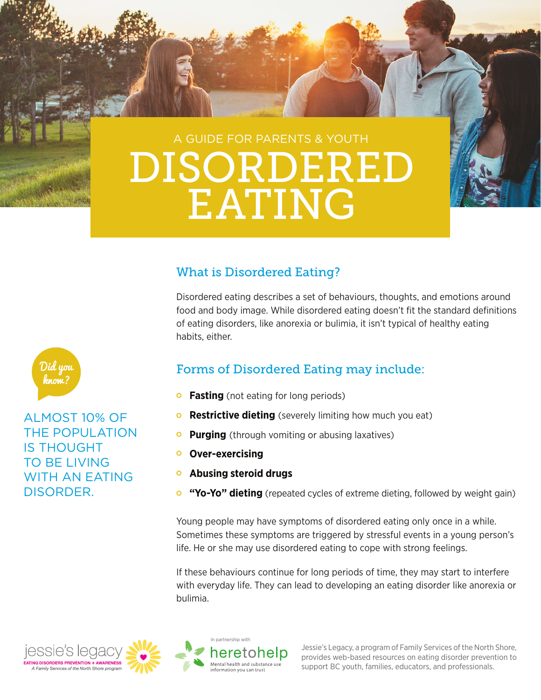# A GUIDE FOR PARENTS & YOUTH DISORDERED EATING

### What is Disordered Eating?

Disordered eating describes a set of behaviours, thoughts, and emotions around food and body image. While disordered eating doesn't fit the standard definitions of eating disorders, like anorexia or bulimia, it isn't typical of healthy eating habits, either.



### Forms of Disordered Eating may include:

- **Fasting** (not eating for long periods)
- **Restrictive dieting** (severely limiting how much you eat)
- $\circ$ **Purging** (through vomiting or abusing laxatives)
- **Over-exercising**  $\overline{O}$
- **Abusing steroid drugs**  $\mathbf{\circ}$
- $\bullet$ **"Yo-Yo" dieting** (repeated cycles of extreme dieting, followed by weight gain)

Young people may have symptoms of disordered eating only once in a while. Sometimes these symptoms are triggered by stressful events in a young person's life. He or she may use disordered eating to cope with strong feelings.

If these behaviours continue for long periods of time, they may start to interfere with everyday life. They can lead to developing an eating disorder like anorexia or bulimia.





Jessie's Legacy, a program of Family Services of the North Shore, provides web-based resources on eating disorder prevention to support BC youth, families, educators, and professionals.



ALMOST 10% OF THE POPULATION IS THOUGHT TO BE LIVING WITH AN EATING DISORDER.